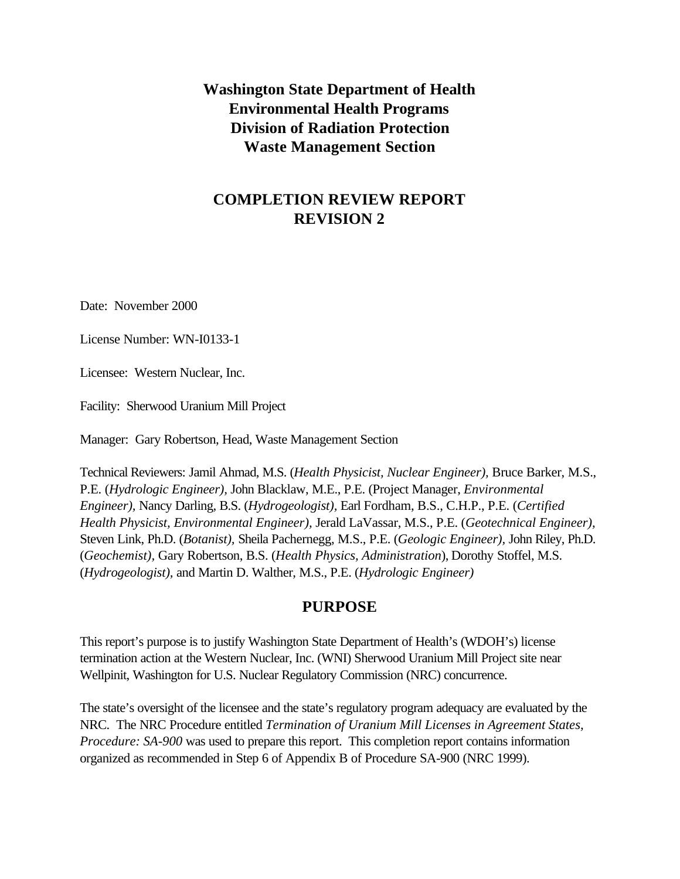**Washington State Department of Health Environmental Health Programs Division of Radiation Protection Waste Management Section**

# **COMPLETION REVIEW REPORT REVISION 2**

Date: November 2000

License Number: WN-I0133-1

Licensee: Western Nuclear, Inc.

Facility: Sherwood Uranium Mill Project

Manager: Gary Robertson, Head, Waste Management Section

Technical Reviewers: Jamil Ahmad, M.S. (*Health Physicist, Nuclear Engineer),* Bruce Barker, M.S., P.E. (*Hydrologic Engineer),* John Blacklaw, M.E., P.E. (Project Manager, *Environmental Engineer),* Nancy Darling, B.S. (*Hydrogeologist),* Earl Fordham, B.S., C.H.P., P.E. (*Certified Health Physicist, Environmental Engineer),* Jerald LaVassar, M.S., P.E. (*Geotechnical Engineer),* Steven Link, Ph.D. (*Botanist),* Sheila Pachernegg, M.S., P.E. (*Geologic Engineer),* John Riley, Ph.D. (*Geochemist),* Gary Robertson, B.S. (*Health Physics, Administration*), Dorothy Stoffel, M.S. (*Hydrogeologist),* and Martin D. Walther, M.S., P.E. (*Hydrologic Engineer)*

### **PURPOSE**

This report's purpose is to justify Washington State Department of Health's (WDOH's) license termination action at the Western Nuclear, Inc. (WNI) Sherwood Uranium Mill Project site near Wellpinit, Washington for U.S. Nuclear Regulatory Commission (NRC) concurrence.

The state's oversight of the licensee and the state's regulatory program adequacy are evaluated by the NRC. The NRC Procedure entitled *Termination of Uranium Mill Licenses in Agreement States, Procedure: SA-900* was used to prepare this report. This completion report contains information organized as recommended in Step 6 of Appendix B of Procedure SA-900 (NRC 1999).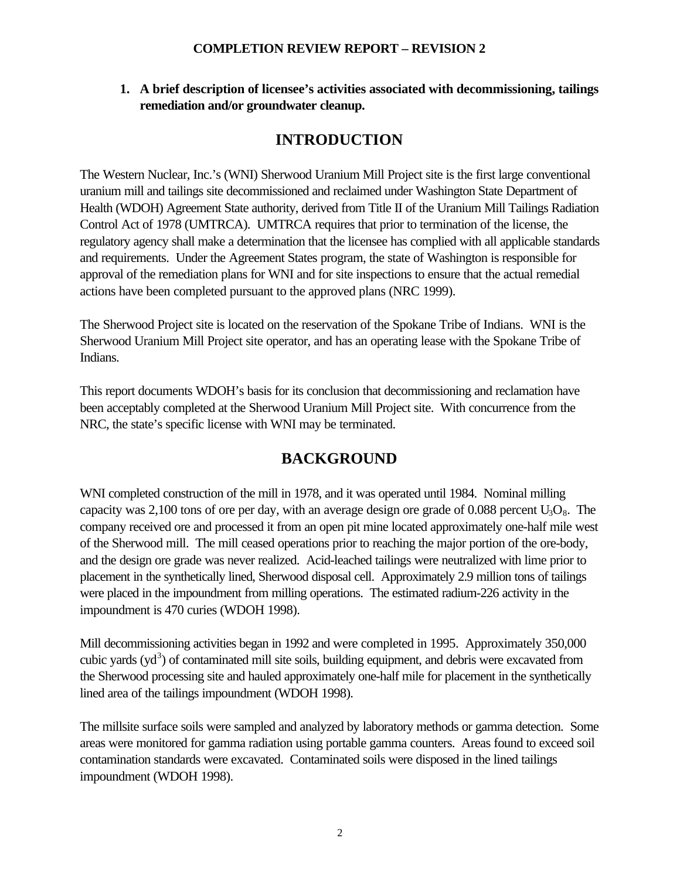**1. A brief description of licensee's activities associated with decommissioning, tailings remediation and/or groundwater cleanup.**

# **INTRODUCTION**

The Western Nuclear, Inc.'s (WNI) Sherwood Uranium Mill Project site is the first large conventional uranium mill and tailings site decommissioned and reclaimed under Washington State Department of Health (WDOH) Agreement State authority, derived from Title II of the Uranium Mill Tailings Radiation Control Act of 1978 (UMTRCA). UMTRCA requires that prior to termination of the license, the regulatory agency shall make a determination that the licensee has complied with all applicable standards and requirements. Under the Agreement States program, the state of Washington is responsible for approval of the remediation plans for WNI and for site inspections to ensure that the actual remedial actions have been completed pursuant to the approved plans (NRC 1999).

The Sherwood Project site is located on the reservation of the Spokane Tribe of Indians. WNI is the Sherwood Uranium Mill Project site operator, and has an operating lease with the Spokane Tribe of Indians.

This report documents WDOH's basis for its conclusion that decommissioning and reclamation have been acceptably completed at the Sherwood Uranium Mill Project site. With concurrence from the NRC, the state's specific license with WNI may be terminated.

## **BACKGROUND**

WNI completed construction of the mill in 1978, and it was operated until 1984. Nominal milling capacity was 2,100 tons of ore per day, with an average design ore grade of 0.088 percent  $U_3O_8$ . The company received ore and processed it from an open pit mine located approximately one-half mile west of the Sherwood mill. The mill ceased operations prior to reaching the major portion of the ore-body, and the design ore grade was never realized. Acid-leached tailings were neutralized with lime prior to placement in the synthetically lined, Sherwood disposal cell. Approximately 2.9 million tons of tailings were placed in the impoundment from milling operations. The estimated radium-226 activity in the impoundment is 470 curies (WDOH 1998).

Mill decommissioning activities began in 1992 and were completed in 1995. Approximately 350,000 cubic yards (yd<sup>3</sup>) of contaminated mill site soils, building equipment, and debris were excavated from the Sherwood processing site and hauled approximately one-half mile for placement in the synthetically lined area of the tailings impoundment (WDOH 1998).

The millsite surface soils were sampled and analyzed by laboratory methods or gamma detection. Some areas were monitored for gamma radiation using portable gamma counters. Areas found to exceed soil contamination standards were excavated. Contaminated soils were disposed in the lined tailings impoundment (WDOH 1998).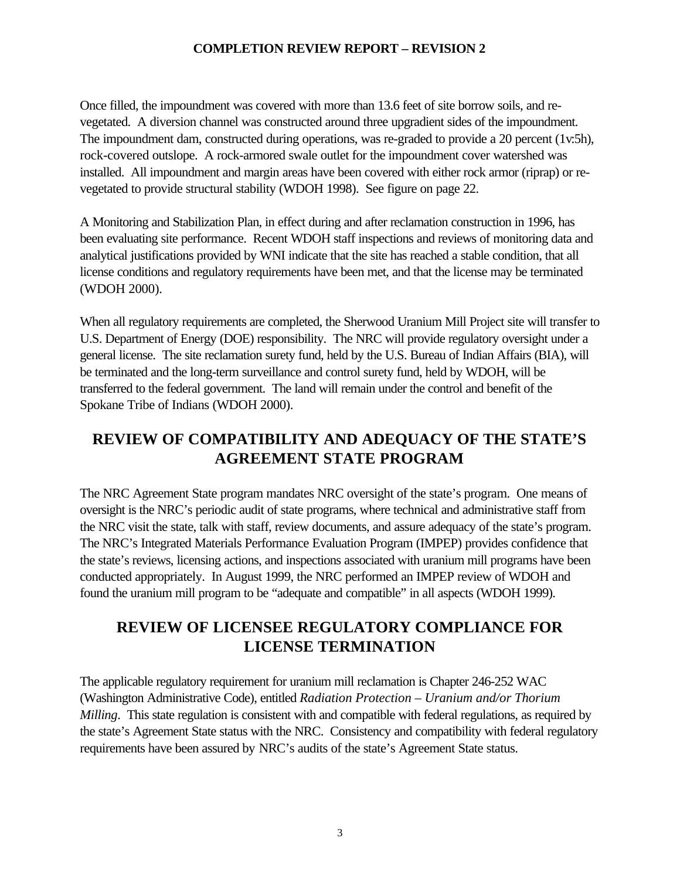Once filled, the impoundment was covered with more than 13.6 feet of site borrow soils, and revegetated. A diversion channel was constructed around three upgradient sides of the impoundment. The impoundment dam, constructed during operations, was re-graded to provide a 20 percent (1v:5h), rock-covered outslope. A rock-armored swale outlet for the impoundment cover watershed was installed. All impoundment and margin areas have been covered with either rock armor (riprap) or revegetated to provide structural stability (WDOH 1998). See figure on page 22.

A Monitoring and Stabilization Plan, in effect during and after reclamation construction in 1996, has been evaluating site performance. Recent WDOH staff inspections and reviews of monitoring data and analytical justifications provided by WNI indicate that the site has reached a stable condition, that all license conditions and regulatory requirements have been met, and that the license may be terminated (WDOH 2000).

When all regulatory requirements are completed, the Sherwood Uranium Mill Project site will transfer to U.S. Department of Energy (DOE) responsibility. The NRC will provide regulatory oversight under a general license. The site reclamation surety fund, held by the U.S. Bureau of Indian Affairs (BIA), will be terminated and the long-term surveillance and control surety fund, held by WDOH, will be transferred to the federal government. The land will remain under the control and benefit of the Spokane Tribe of Indians (WDOH 2000).

# **REVIEW OF COMPATIBILITY AND ADEQUACY OF THE STATE'S AGREEMENT STATE PROGRAM**

The NRC Agreement State program mandates NRC oversight of the state's program. One means of oversight is the NRC's periodic audit of state programs, where technical and administrative staff from the NRC visit the state, talk with staff, review documents, and assure adequacy of the state's program. The NRC's Integrated Materials Performance Evaluation Program (IMPEP) provides confidence that the state's reviews, licensing actions, and inspections associated with uranium mill programs have been conducted appropriately. In August 1999, the NRC performed an IMPEP review of WDOH and found the uranium mill program to be "adequate and compatible" in all aspects (WDOH 1999).

# **REVIEW OF LICENSEE REGULATORY COMPLIANCE FOR LICENSE TERMINATION**

The applicable regulatory requirement for uranium mill reclamation is Chapter 246-252 WAC (Washington Administrative Code), entitled *Radiation Protection – Uranium and/or Thorium Milling*. This state regulation is consistent with and compatible with federal regulations, as required by the state's Agreement State status with the NRC. Consistency and compatibility with federal regulatory requirements have been assured by NRC's audits of the state's Agreement State status.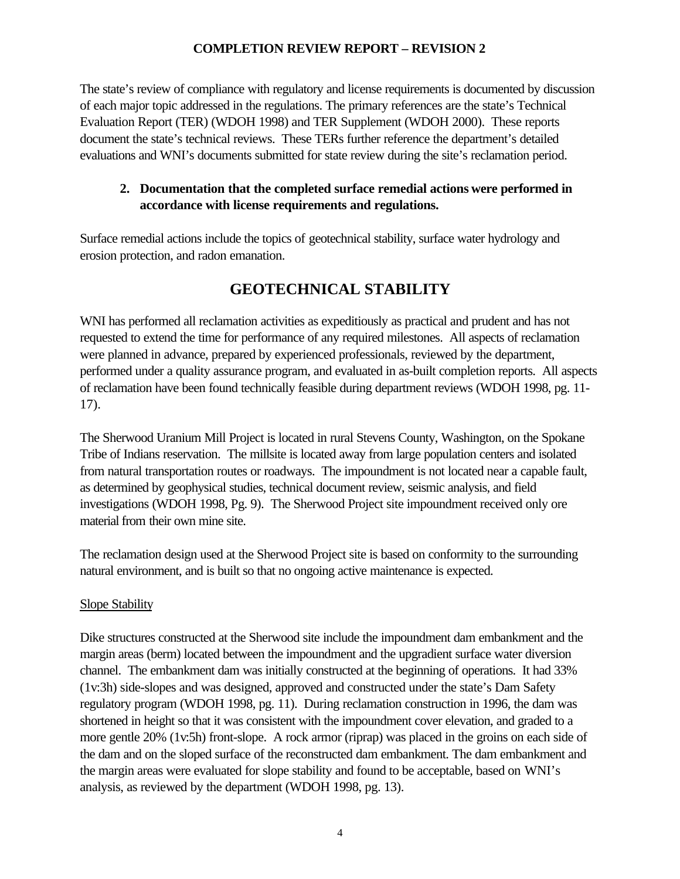The state's review of compliance with regulatory and license requirements is documented by discussion of each major topic addressed in the regulations. The primary references are the state's Technical Evaluation Report (TER) (WDOH 1998) and TER Supplement (WDOH 2000). These reports document the state's technical reviews. These TERs further reference the department's detailed evaluations and WNI's documents submitted for state review during the site's reclamation period.

## **2. Documentation that the completed surface remedial actions were performed in accordance with license requirements and regulations.**

Surface remedial actions include the topics of geotechnical stability, surface water hydrology and erosion protection, and radon emanation.

# **GEOTECHNICAL STABILITY**

WNI has performed all reclamation activities as expeditiously as practical and prudent and has not requested to extend the time for performance of any required milestones. All aspects of reclamation were planned in advance, prepared by experienced professionals, reviewed by the department, performed under a quality assurance program, and evaluated in as-built completion reports. All aspects of reclamation have been found technically feasible during department reviews (WDOH 1998, pg. 11- 17).

The Sherwood Uranium Mill Project is located in rural Stevens County, Washington, on the Spokane Tribe of Indians reservation. The millsite is located away from large population centers and isolated from natural transportation routes or roadways. The impoundment is not located near a capable fault, as determined by geophysical studies, technical document review, seismic analysis, and field investigations (WDOH 1998, Pg. 9). The Sherwood Project site impoundment received only ore material from their own mine site.

The reclamation design used at the Sherwood Project site is based on conformity to the surrounding natural environment, and is built so that no ongoing active maintenance is expected.

### Slope Stability

Dike structures constructed at the Sherwood site include the impoundment dam embankment and the margin areas (berm) located between the impoundment and the upgradient surface water diversion channel. The embankment dam was initially constructed at the beginning of operations. It had 33% (1v:3h) side-slopes and was designed, approved and constructed under the state's Dam Safety regulatory program (WDOH 1998, pg. 11). During reclamation construction in 1996, the dam was shortened in height so that it was consistent with the impoundment cover elevation, and graded to a more gentle 20% (1v:5h) front-slope. A rock armor (riprap) was placed in the groins on each side of the dam and on the sloped surface of the reconstructed dam embankment. The dam embankment and the margin areas were evaluated for slope stability and found to be acceptable, based on WNI's analysis, as reviewed by the department (WDOH 1998, pg. 13).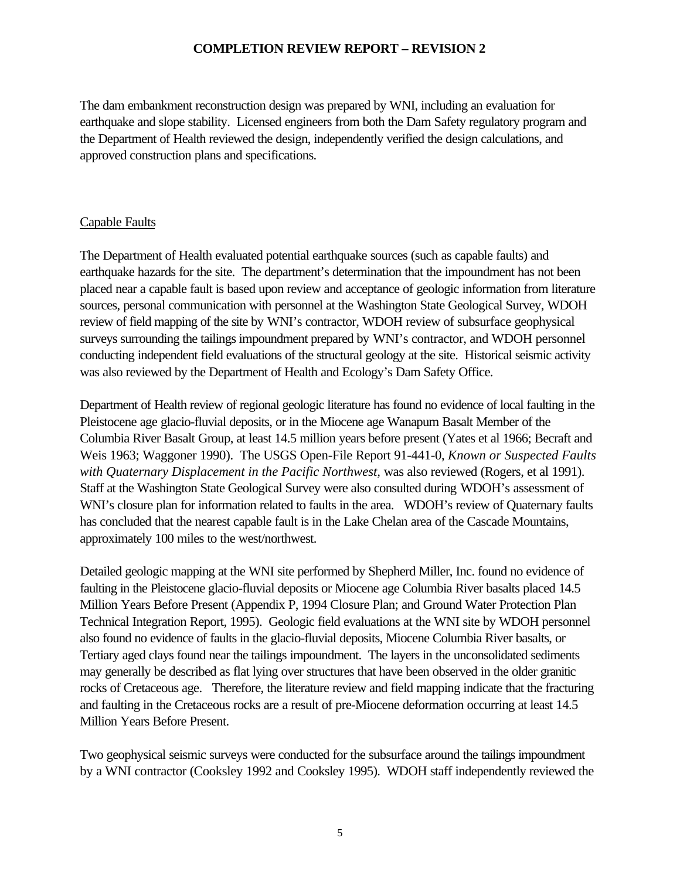The dam embankment reconstruction design was prepared by WNI, including an evaluation for earthquake and slope stability. Licensed engineers from both the Dam Safety regulatory program and the Department of Health reviewed the design, independently verified the design calculations, and approved construction plans and specifications.

### Capable Faults

The Department of Health evaluated potential earthquake sources (such as capable faults) and earthquake hazards for the site. The department's determination that the impoundment has not been placed near a capable fault is based upon review and acceptance of geologic information from literature sources, personal communication with personnel at the Washington State Geological Survey, WDOH review of field mapping of the site by WNI's contractor, WDOH review of subsurface geophysical surveys surrounding the tailings impoundment prepared by WNI's contractor, and WDOH personnel conducting independent field evaluations of the structural geology at the site. Historical seismic activity was also reviewed by the Department of Health and Ecology's Dam Safety Office.

Department of Health review of regional geologic literature has found no evidence of local faulting in the Pleistocene age glacio-fluvial deposits, or in the Miocene age Wanapum Basalt Member of the Columbia River Basalt Group, at least 14.5 million years before present (Yates et al 1966; Becraft and Weis 1963; Waggoner 1990). The USGS Open-File Report 91-441-0, *Known or Suspected Faults with Quaternary Displacement in the Pacific Northwest,* was also reviewed (Rogers, et al 1991). Staff at the Washington State Geological Survey were also consulted during WDOH's assessment of WNI's closure plan for information related to faults in the area. WDOH's review of Quaternary faults has concluded that the nearest capable fault is in the Lake Chelan area of the Cascade Mountains, approximately 100 miles to the west/northwest.

Detailed geologic mapping at the WNI site performed by Shepherd Miller, Inc. found no evidence of faulting in the Pleistocene glacio-fluvial deposits or Miocene age Columbia River basalts placed 14.5 Million Years Before Present (Appendix P, 1994 Closure Plan; and Ground Water Protection Plan Technical Integration Report, 1995). Geologic field evaluations at the WNI site by WDOH personnel also found no evidence of faults in the glacio-fluvial deposits, Miocene Columbia River basalts, or Tertiary aged clays found near the tailings impoundment. The layers in the unconsolidated sediments may generally be described as flat lying over structures that have been observed in the older granitic rocks of Cretaceous age. Therefore, the literature review and field mapping indicate that the fracturing and faulting in the Cretaceous rocks are a result of pre-Miocene deformation occurring at least 14.5 Million Years Before Present.

Two geophysical seismic surveys were conducted for the subsurface around the tailings impoundment by a WNI contractor (Cooksley 1992 and Cooksley 1995). WDOH staff independently reviewed the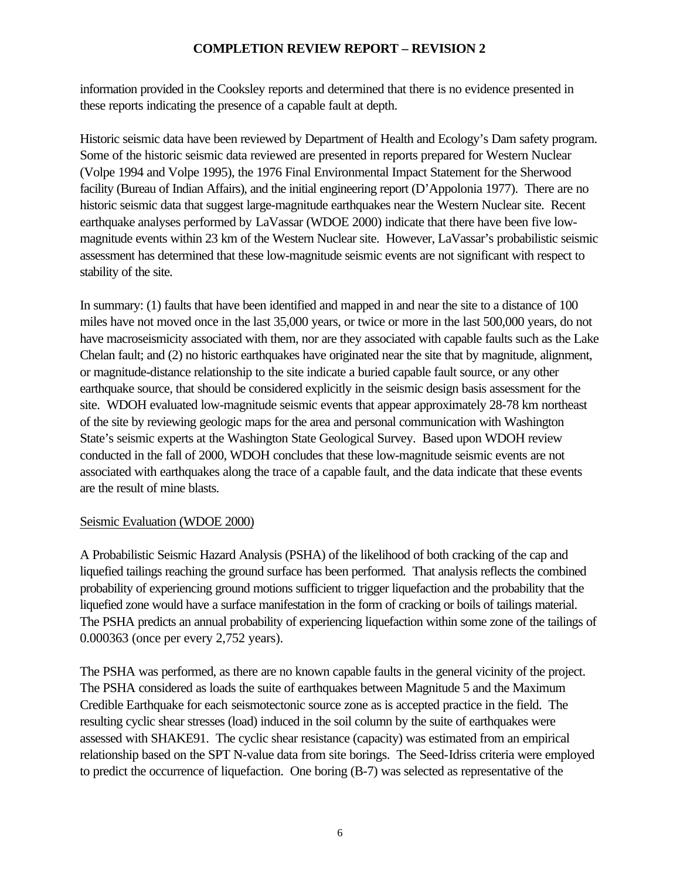information provided in the Cooksley reports and determined that there is no evidence presented in these reports indicating the presence of a capable fault at depth.

Historic seismic data have been reviewed by Department of Health and Ecology's Dam safety program. Some of the historic seismic data reviewed are presented in reports prepared for Western Nuclear (Volpe 1994 and Volpe 1995), the 1976 Final Environmental Impact Statement for the Sherwood facility (Bureau of Indian Affairs), and the initial engineering report (D'Appolonia 1977). There are no historic seismic data that suggest large-magnitude earthquakes near the Western Nuclear site. Recent earthquake analyses performed by LaVassar (WDOE 2000) indicate that there have been five lowmagnitude events within 23 km of the Western Nuclear site. However, LaVassar's probabilistic seismic assessment has determined that these low-magnitude seismic events are not significant with respect to stability of the site.

In summary: (1) faults that have been identified and mapped in and near the site to a distance of 100 miles have not moved once in the last 35,000 years, or twice or more in the last 500,000 years, do not have macroseismicity associated with them, nor are they associated with capable faults such as the Lake Chelan fault; and (2) no historic earthquakes have originated near the site that by magnitude, alignment, or magnitude-distance relationship to the site indicate a buried capable fault source, or any other earthquake source, that should be considered explicitly in the seismic design basis assessment for the site. WDOH evaluated low-magnitude seismic events that appear approximately 28-78 km northeast of the site by reviewing geologic maps for the area and personal communication with Washington State's seismic experts at the Washington State Geological Survey. Based upon WDOH review conducted in the fall of 2000, WDOH concludes that these low-magnitude seismic events are not associated with earthquakes along the trace of a capable fault, and the data indicate that these events are the result of mine blasts.

### Seismic Evaluation (WDOE 2000)

A Probabilistic Seismic Hazard Analysis (PSHA) of the likelihood of both cracking of the cap and liquefied tailings reaching the ground surface has been performed. That analysis reflects the combined probability of experiencing ground motions sufficient to trigger liquefaction and the probability that the liquefied zone would have a surface manifestation in the form of cracking or boils of tailings material. The PSHA predicts an annual probability of experiencing liquefaction within some zone of the tailings of 0.000363 (once per every 2,752 years).

The PSHA was performed, as there are no known capable faults in the general vicinity of the project. The PSHA considered as loads the suite of earthquakes between Magnitude 5 and the Maximum Credible Earthquake for each seismotectonic source zone as is accepted practice in the field. The resulting cyclic shear stresses (load) induced in the soil column by the suite of earthquakes were assessed with SHAKE91. The cyclic shear resistance (capacity) was estimated from an empirical relationship based on the SPT N-value data from site borings. The Seed-Idriss criteria were employed to predict the occurrence of liquefaction. One boring (B-7) was selected as representative of the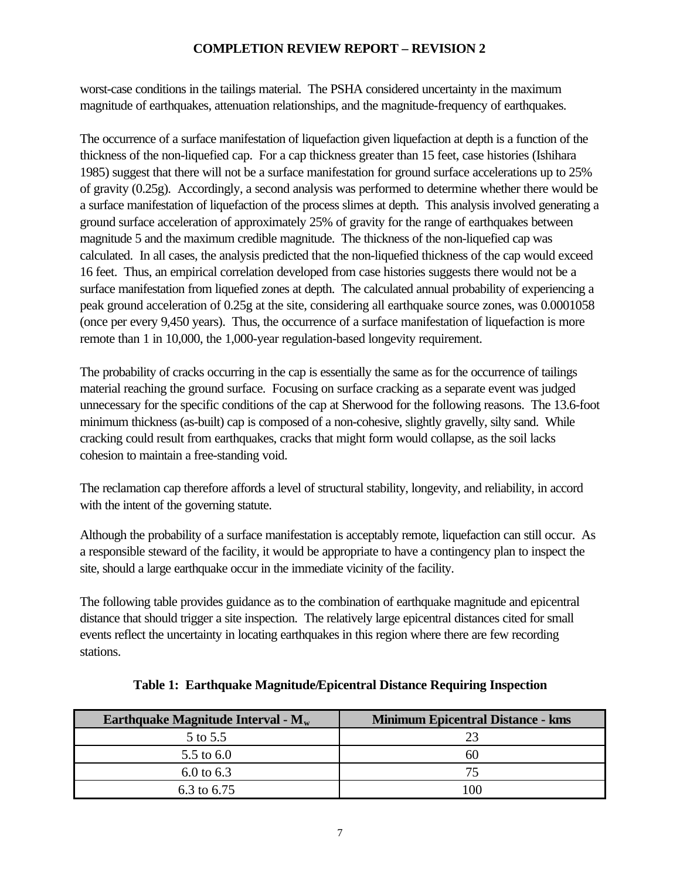worst-case conditions in the tailings material. The PSHA considered uncertainty in the maximum magnitude of earthquakes, attenuation relationships, and the magnitude-frequency of earthquakes.

The occurrence of a surface manifestation of liquefaction given liquefaction at depth is a function of the thickness of the non-liquefied cap. For a cap thickness greater than 15 feet, case histories (Ishihara 1985) suggest that there will not be a surface manifestation for ground surface accelerations up to 25% of gravity (0.25g). Accordingly, a second analysis was performed to determine whether there would be a surface manifestation of liquefaction of the process slimes at depth. This analysis involved generating a ground surface acceleration of approximately 25% of gravity for the range of earthquakes between magnitude 5 and the maximum credible magnitude. The thickness of the non-liquefied cap was calculated. In all cases, the analysis predicted that the non-liquefied thickness of the cap would exceed 16 feet. Thus, an empirical correlation developed from case histories suggests there would not be a surface manifestation from liquefied zones at depth. The calculated annual probability of experiencing a peak ground acceleration of 0.25g at the site, considering all earthquake source zones, was 0.0001058 (once per every 9,450 years). Thus, the occurrence of a surface manifestation of liquefaction is more remote than 1 in 10,000, the 1,000-year regulation-based longevity requirement.

The probability of cracks occurring in the cap is essentially the same as for the occurrence of tailings material reaching the ground surface. Focusing on surface cracking as a separate event was judged unnecessary for the specific conditions of the cap at Sherwood for the following reasons. The 13.6-foot minimum thickness (as-built) cap is composed of a non-cohesive, slightly gravelly, silty sand. While cracking could result from earthquakes, cracks that might form would collapse, as the soil lacks cohesion to maintain a free-standing void.

The reclamation cap therefore affords a level of structural stability, longevity, and reliability, in accord with the intent of the governing statute.

Although the probability of a surface manifestation is acceptably remote, liquefaction can still occur. As a responsible steward of the facility, it would be appropriate to have a contingency plan to inspect the site, should a large earthquake occur in the immediate vicinity of the facility.

The following table provides guidance as to the combination of earthquake magnitude and epicentral distance that should trigger a site inspection. The relatively large epicentral distances cited for small events reflect the uncertainty in locating earthquakes in this region where there are few recording stations.

| Earthquake Magnitude Interval - $M_w$ | <b>Minimum Epicentral Distance - kms</b> |
|---------------------------------------|------------------------------------------|
| 5 to 5.5                              |                                          |
| 5.5 to $6.0$                          | 60                                       |
| 6.0 to $6.3$                          | 75                                       |
| 6.3 to 6.75                           |                                          |

|  |  | Table 1: Earthquake Magnitude/Epicentral Distance Requiring Inspection |
|--|--|------------------------------------------------------------------------|
|  |  |                                                                        |
|  |  |                                                                        |
|  |  |                                                                        |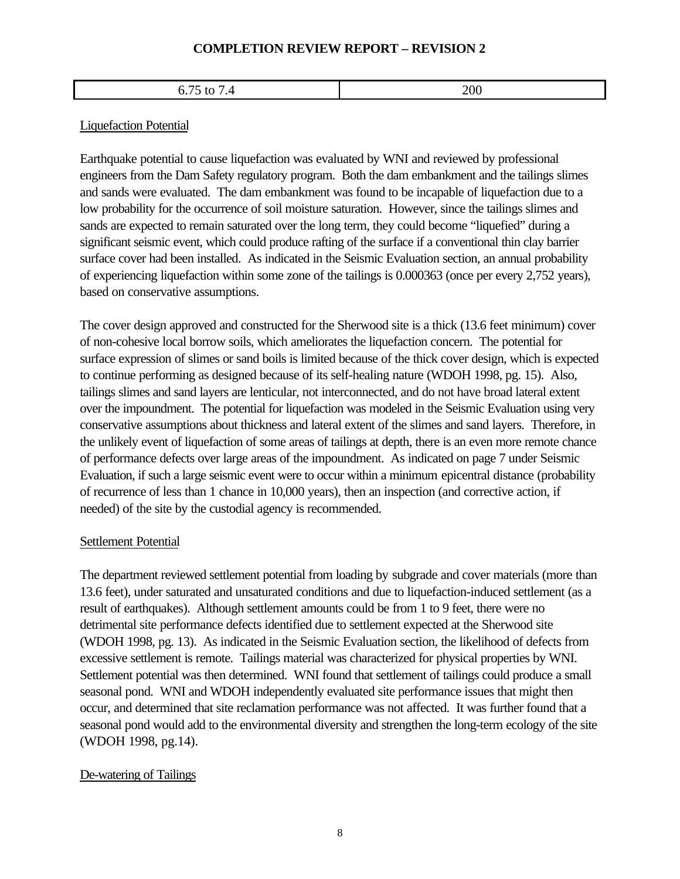#### 6.75 to 7.4 200

#### Liquefaction Potential

Earthquake potential to cause liquefaction was evaluated by WNI and reviewed by professional engineers from the Dam Safety regulatory program. Both the dam embankment and the tailings slimes and sands were evaluated. The dam embankment was found to be incapable of liquefaction due to a low probability for the occurrence of soil moisture saturation. However, since the tailings slimes and sands are expected to remain saturated over the long term, they could become "liquefied" during a significant seismic event, which could produce rafting of the surface if a conventional thin clay barrier surface cover had been installed. As indicated in the Seismic Evaluation section, an annual probability of experiencing liquefaction within some zone of the tailings is 0.000363 (once per every 2,752 years), based on conservative assumptions.

The cover design approved and constructed for the Sherwood site is a thick (13.6 feet minimum) cover of non-cohesive local borrow soils, which ameliorates the liquefaction concern. The potential for surface expression of slimes or sand boils is limited because of the thick cover design, which is expected to continue performing as designed because of its self-healing nature (WDOH 1998, pg. 15). Also, tailings slimes and sand layers are lenticular, not interconnected, and do not have broad lateral extent over the impoundment. The potential for liquefaction was modeled in the Seismic Evaluation using very conservative assumptions about thickness and lateral extent of the slimes and sand layers. Therefore, in the unlikely event of liquefaction of some areas of tailings at depth, there is an even more remote chance of performance defects over large areas of the impoundment. As indicated on page 7 under Seismic Evaluation, if such a large seismic event were to occur within a minimum epicentral distance (probability of recurrence of less than 1 chance in 10,000 years), then an inspection (and corrective action, if needed) of the site by the custodial agency is recommended.

#### Settlement Potential

The department reviewed settlement potential from loading by subgrade and cover materials (more than 13.6 feet), under saturated and unsaturated conditions and due to liquefaction-induced settlement (as a result of earthquakes). Although settlement amounts could be from 1 to 9 feet, there were no detrimental site performance defects identified due to settlement expected at the Sherwood site (WDOH 1998, pg. 13). As indicated in the Seismic Evaluation section, the likelihood of defects from excessive settlement is remote. Tailings material was characterized for physical properties by WNI. Settlement potential was then determined. WNI found that settlement of tailings could produce a small seasonal pond. WNI and WDOH independently evaluated site performance issues that might then occur, and determined that site reclamation performance was not affected. It was further found that a seasonal pond would add to the environmental diversity and strengthen the long-term ecology of the site (WDOH 1998, pg.14).

### De-watering of Tailings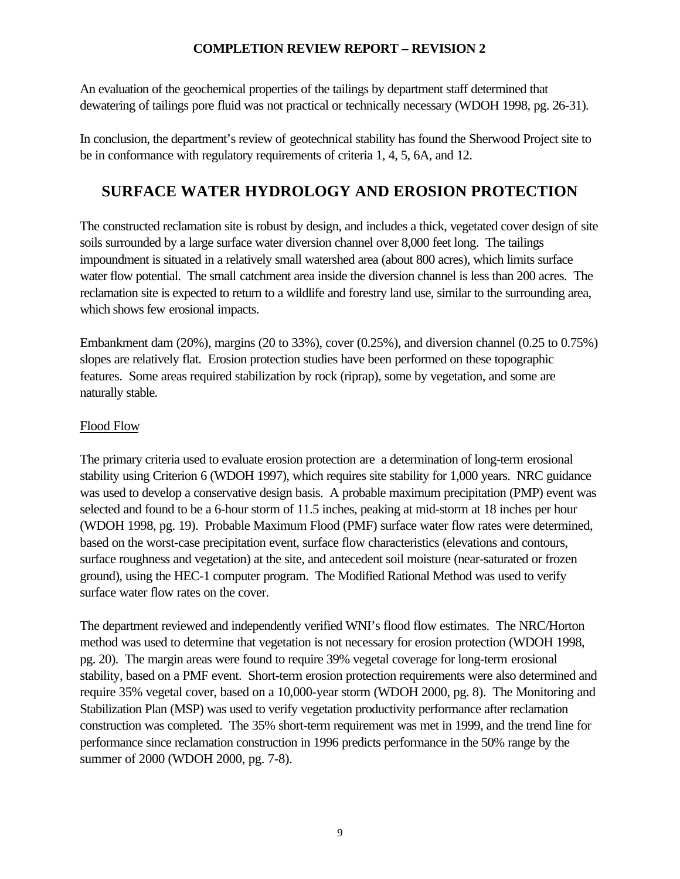An evaluation of the geochemical properties of the tailings by department staff determined that dewatering of tailings pore fluid was not practical or technically necessary (WDOH 1998, pg. 26-31).

In conclusion, the department's review of geotechnical stability has found the Sherwood Project site to be in conformance with regulatory requirements of criteria 1, 4, 5, 6A, and 12.

# **SURFACE WATER HYDROLOGY AND EROSION PROTECTION**

The constructed reclamation site is robust by design, and includes a thick, vegetated cover design of site soils surrounded by a large surface water diversion channel over 8,000 feet long. The tailings impoundment is situated in a relatively small watershed area (about 800 acres), which limits surface water flow potential. The small catchment area inside the diversion channel is less than 200 acres. The reclamation site is expected to return to a wildlife and forestry land use, similar to the surrounding area, which shows few erosional impacts.

Embankment dam (20%), margins (20 to 33%), cover (0.25%), and diversion channel (0.25 to 0.75%) slopes are relatively flat. Erosion protection studies have been performed on these topographic features. Some areas required stabilization by rock (riprap), some by vegetation, and some are naturally stable.

### Flood Flow

The primary criteria used to evaluate erosion protection are a determination of long-term erosional stability using Criterion 6 (WDOH 1997), which requires site stability for 1,000 years. NRC guidance was used to develop a conservative design basis. A probable maximum precipitation (PMP) event was selected and found to be a 6-hour storm of 11.5 inches, peaking at mid-storm at 18 inches per hour (WDOH 1998, pg. 19). Probable Maximum Flood (PMF) surface water flow rates were determined, based on the worst-case precipitation event, surface flow characteristics (elevations and contours, surface roughness and vegetation) at the site, and antecedent soil moisture (near-saturated or frozen ground), using the HEC-1 computer program. The Modified Rational Method was used to verify surface water flow rates on the cover.

The department reviewed and independently verified WNI's flood flow estimates. The NRC/Horton method was used to determine that vegetation is not necessary for erosion protection (WDOH 1998, pg. 20). The margin areas were found to require 39% vegetal coverage for long-term erosional stability, based on a PMF event. Short-term erosion protection requirements were also determined and require 35% vegetal cover, based on a 10,000-year storm (WDOH 2000, pg. 8). The Monitoring and Stabilization Plan (MSP) was used to verify vegetation productivity performance after reclamation construction was completed. The 35% short-term requirement was met in 1999, and the trend line for performance since reclamation construction in 1996 predicts performance in the 50% range by the summer of 2000 (WDOH 2000, pg. 7-8).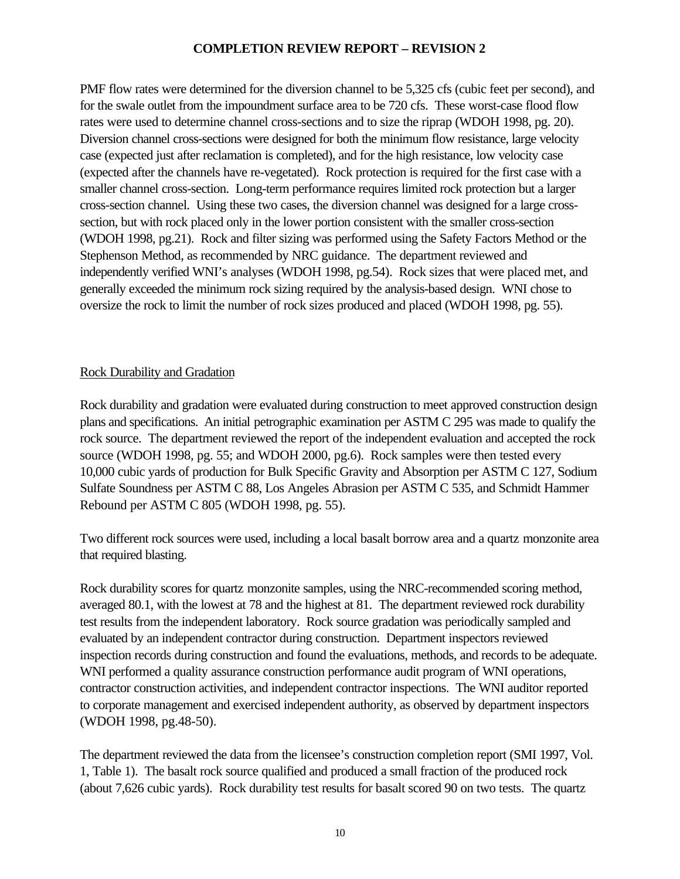PMF flow rates were determined for the diversion channel to be 5,325 cfs (cubic feet per second), and for the swale outlet from the impoundment surface area to be 720 cfs. These worst-case flood flow rates were used to determine channel cross-sections and to size the riprap (WDOH 1998, pg. 20). Diversion channel cross-sections were designed for both the minimum flow resistance, large velocity case (expected just after reclamation is completed), and for the high resistance, low velocity case (expected after the channels have re-vegetated). Rock protection is required for the first case with a smaller channel cross-section. Long-term performance requires limited rock protection but a larger cross-section channel. Using these two cases, the diversion channel was designed for a large crosssection, but with rock placed only in the lower portion consistent with the smaller cross-section (WDOH 1998, pg.21). Rock and filter sizing was performed using the Safety Factors Method or the Stephenson Method, as recommended by NRC guidance. The department reviewed and independently verified WNI's analyses (WDOH 1998, pg.54). Rock sizes that were placed met, and generally exceeded the minimum rock sizing required by the analysis-based design. WNI chose to oversize the rock to limit the number of rock sizes produced and placed (WDOH 1998, pg. 55).

### Rock Durability and Gradation

Rock durability and gradation were evaluated during construction to meet approved construction design plans and specifications. An initial petrographic examination per ASTM C 295 was made to qualify the rock source. The department reviewed the report of the independent evaluation and accepted the rock source (WDOH 1998, pg. 55; and WDOH 2000, pg.6). Rock samples were then tested every 10,000 cubic yards of production for Bulk Specific Gravity and Absorption per ASTM C 127, Sodium Sulfate Soundness per ASTM C 88, Los Angeles Abrasion per ASTM C 535, and Schmidt Hammer Rebound per ASTM C 805 (WDOH 1998, pg. 55).

Two different rock sources were used, including a local basalt borrow area and a quartz monzonite area that required blasting.

Rock durability scores for quartz monzonite samples, using the NRC-recommended scoring method, averaged 80.1, with the lowest at 78 and the highest at 81. The department reviewed rock durability test results from the independent laboratory. Rock source gradation was periodically sampled and evaluated by an independent contractor during construction. Department inspectors reviewed inspection records during construction and found the evaluations, methods, and records to be adequate. WNI performed a quality assurance construction performance audit program of WNI operations, contractor construction activities, and independent contractor inspections. The WNI auditor reported to corporate management and exercised independent authority, as observed by department inspectors (WDOH 1998, pg.48-50).

The department reviewed the data from the licensee's construction completion report (SMI 1997, Vol. 1, Table 1). The basalt rock source qualified and produced a small fraction of the produced rock (about 7,626 cubic yards). Rock durability test results for basalt scored 90 on two tests. The quartz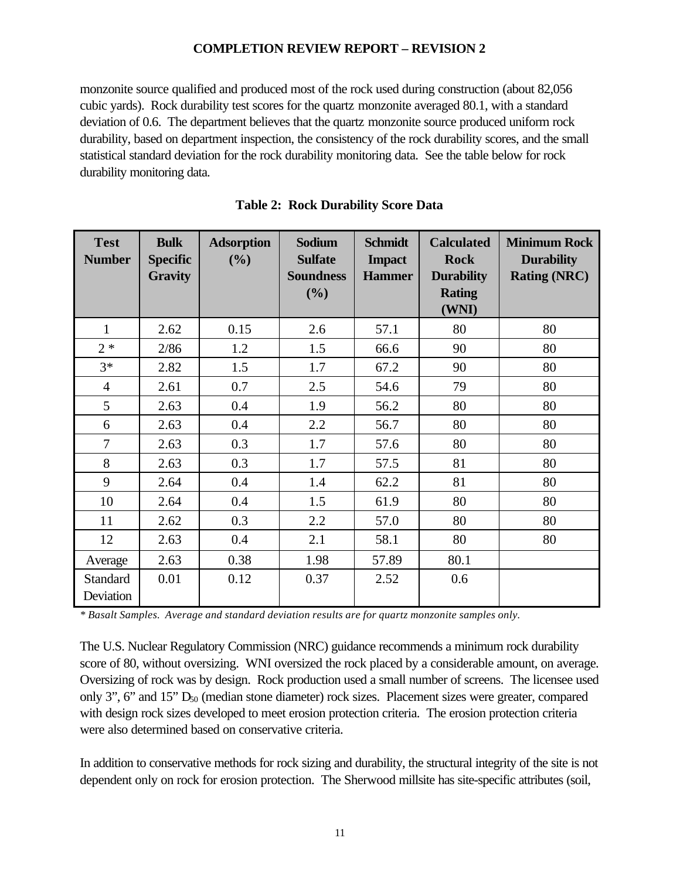monzonite source qualified and produced most of the rock used during construction (about 82,056 cubic yards). Rock durability test scores for the quartz monzonite averaged 80.1, with a standard deviation of 0.6. The department believes that the quartz monzonite source produced uniform rock durability, based on department inspection, the consistency of the rock durability scores, and the small statistical standard deviation for the rock durability monitoring data. See the table below for rock durability monitoring data.

| <b>Test</b><br><b>Number</b> | <b>Bulk</b><br><b>Specific</b><br><b>Gravity</b> | <b>Adsorption</b><br>(%) | <b>Sodium</b><br><b>Sulfate</b><br><b>Soundness</b><br>(%) | <b>Schmidt</b><br><b>Impact</b><br><b>Hammer</b> | <b>Calculated</b><br><b>Rock</b><br><b>Durability</b><br><b>Rating</b><br>(WNI) | <b>Minimum Rock</b><br><b>Durability</b><br><b>Rating (NRC)</b> |
|------------------------------|--------------------------------------------------|--------------------------|------------------------------------------------------------|--------------------------------------------------|---------------------------------------------------------------------------------|-----------------------------------------------------------------|
| 1                            | 2.62                                             | 0.15                     | 2.6                                                        | 57.1                                             | 80                                                                              | 80                                                              |
| $2 *$                        | 2/86                                             | 1.2                      | 1.5                                                        | 66.6                                             | 90                                                                              | 80                                                              |
| $3*$                         | 2.82                                             | 1.5                      | 1.7                                                        | 67.2                                             | 90                                                                              | 80                                                              |
| $\overline{4}$               | 2.61                                             | 0.7                      | 2.5                                                        | 54.6                                             | 79                                                                              | 80                                                              |
| 5                            | 2.63                                             | 0.4                      | 1.9                                                        | 56.2                                             | 80                                                                              | 80                                                              |
| 6                            | 2.63                                             | 0.4                      | 2.2                                                        | 56.7                                             | 80                                                                              | 80                                                              |
| $\overline{7}$               | 2.63                                             | 0.3                      | 1.7                                                        | 57.6                                             | 80                                                                              | 80                                                              |
| 8                            | 2.63                                             | 0.3                      | 1.7                                                        | 57.5                                             | 81                                                                              | 80                                                              |
| 9                            | 2.64                                             | 0.4                      | 1.4                                                        | 62.2                                             | 81                                                                              | 80                                                              |
| 10                           | 2.64                                             | 0.4                      | 1.5                                                        | 61.9                                             | 80                                                                              | 80                                                              |
| 11                           | 2.62                                             | 0.3                      | 2.2                                                        | 57.0                                             | 80                                                                              | 80                                                              |
| 12                           | 2.63                                             | 0.4                      | 2.1                                                        | 58.1                                             | 80                                                                              | 80                                                              |
| Average                      | 2.63                                             | 0.38                     | 1.98                                                       | 57.89                                            | 80.1                                                                            |                                                                 |
| Standard<br>Deviation        | 0.01                                             | 0.12                     | 0.37                                                       | 2.52                                             | 0.6                                                                             |                                                                 |

**Table 2: Rock Durability Score Data**

*\* Basalt Samples. Average and standard deviation results are for quartz monzonite samples only.*

The U.S. Nuclear Regulatory Commission (NRC) guidance recommends a minimum rock durability score of 80, without oversizing. WNI oversized the rock placed by a considerable amount, on average. Oversizing of rock was by design. Rock production used a small number of screens. The licensee used only 3", 6" and 15"  $D_{50}$  (median stone diameter) rock sizes. Placement sizes were greater, compared with design rock sizes developed to meet erosion protection criteria. The erosion protection criteria were also determined based on conservative criteria.

In addition to conservative methods for rock sizing and durability, the structural integrity of the site is not dependent only on rock for erosion protection. The Sherwood millsite has site-specific attributes (soil,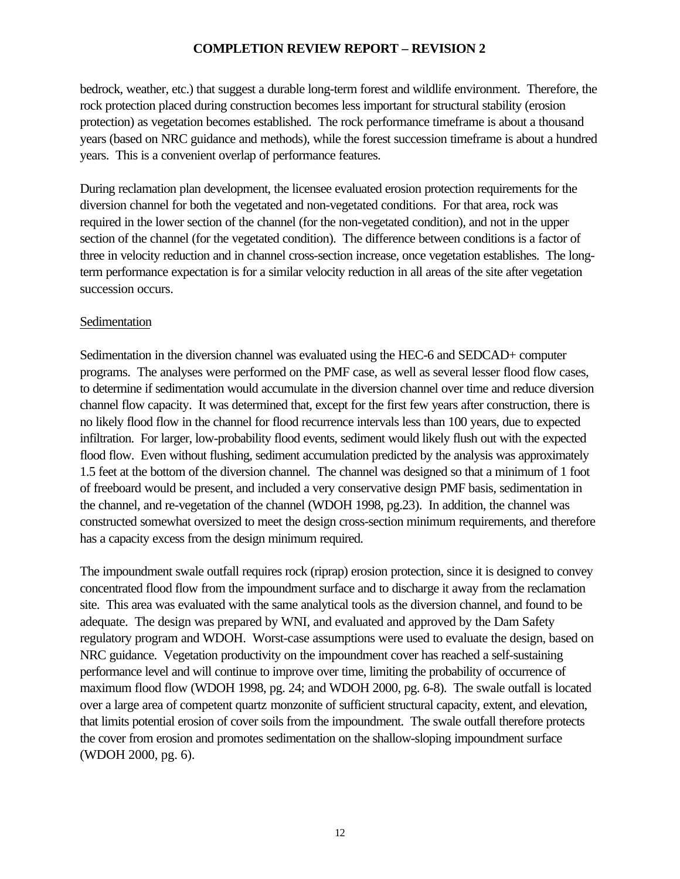bedrock, weather, etc.) that suggest a durable long-term forest and wildlife environment. Therefore, the rock protection placed during construction becomes less important for structural stability (erosion protection) as vegetation becomes established. The rock performance timeframe is about a thousand years (based on NRC guidance and methods), while the forest succession timeframe is about a hundred years. This is a convenient overlap of performance features.

During reclamation plan development, the licensee evaluated erosion protection requirements for the diversion channel for both the vegetated and non-vegetated conditions. For that area, rock was required in the lower section of the channel (for the non-vegetated condition), and not in the upper section of the channel (for the vegetated condition). The difference between conditions is a factor of three in velocity reduction and in channel cross-section increase, once vegetation establishes. The longterm performance expectation is for a similar velocity reduction in all areas of the site after vegetation succession occurs.

#### Sedimentation

Sedimentation in the diversion channel was evaluated using the HEC-6 and SEDCAD+ computer programs. The analyses were performed on the PMF case, as well as several lesser flood flow cases, to determine if sedimentation would accumulate in the diversion channel over time and reduce diversion channel flow capacity. It was determined that, except for the first few years after construction, there is no likely flood flow in the channel for flood recurrence intervals less than 100 years, due to expected infiltration. For larger, low-probability flood events, sediment would likely flush out with the expected flood flow. Even without flushing, sediment accumulation predicted by the analysis was approximately 1.5 feet at the bottom of the diversion channel. The channel was designed so that a minimum of 1 foot of freeboard would be present, and included a very conservative design PMF basis, sedimentation in the channel, and re-vegetation of the channel (WDOH 1998, pg.23). In addition, the channel was constructed somewhat oversized to meet the design cross-section minimum requirements, and therefore has a capacity excess from the design minimum required.

The impoundment swale outfall requires rock (riprap) erosion protection, since it is designed to convey concentrated flood flow from the impoundment surface and to discharge it away from the reclamation site. This area was evaluated with the same analytical tools as the diversion channel, and found to be adequate. The design was prepared by WNI, and evaluated and approved by the Dam Safety regulatory program and WDOH. Worst-case assumptions were used to evaluate the design, based on NRC guidance. Vegetation productivity on the impoundment cover has reached a self-sustaining performance level and will continue to improve over time, limiting the probability of occurrence of maximum flood flow (WDOH 1998, pg. 24; and WDOH 2000, pg. 6-8). The swale outfall is located over a large area of competent quartz monzonite of sufficient structural capacity, extent, and elevation, that limits potential erosion of cover soils from the impoundment. The swale outfall therefore protects the cover from erosion and promotes sedimentation on the shallow-sloping impoundment surface (WDOH 2000, pg. 6).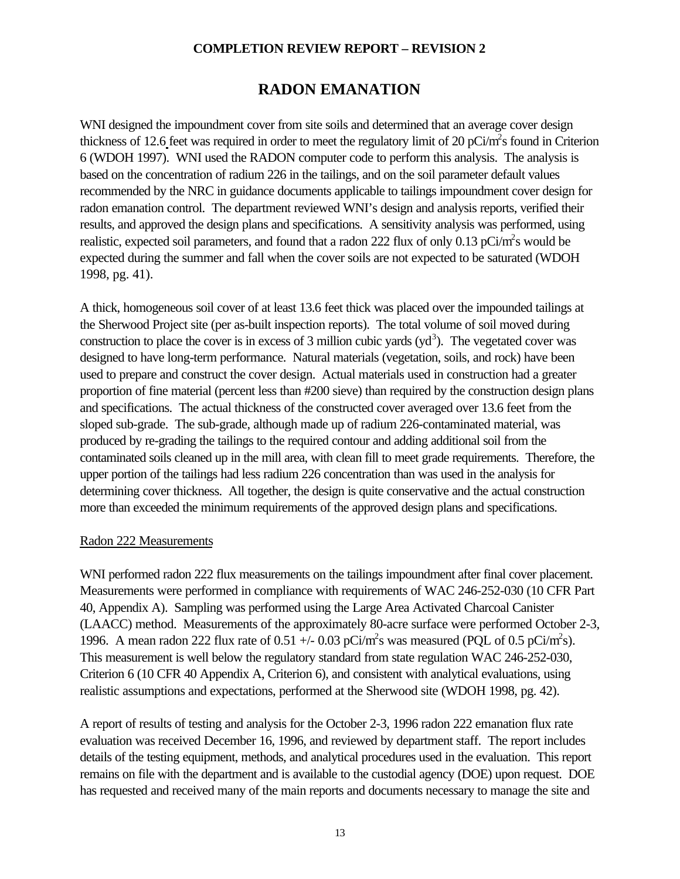## **RADON EMANATION**

WNI designed the impoundment cover from site soils and determined that an average cover design thickness of 12.6 feet was required in order to meet the regulatory limit of 20 pCi/m<sup>2</sup>s found in Criterion 6 (WDOH 1997). WNI used the RADON computer code to perform this analysis. The analysis is based on the concentration of radium 226 in the tailings, and on the soil parameter default values recommended by the NRC in guidance documents applicable to tailings impoundment cover design for radon emanation control. The department reviewed WNI's design and analysis reports, verified their results, and approved the design plans and specifications. A sensitivity analysis was performed, using realistic, expected soil parameters, and found that a radon 222 flux of only  $0.13$  pCi/m<sup>2</sup>s would be expected during the summer and fall when the cover soils are not expected to be saturated (WDOH 1998, pg. 41).

A thick, homogeneous soil cover of at least 13.6 feet thick was placed over the impounded tailings at the Sherwood Project site (per as-built inspection reports). The total volume of soil moved during construction to place the cover is in excess of 3 million cubic yards  $(yd<sup>3</sup>)$ . The vegetated cover was designed to have long-term performance. Natural materials (vegetation, soils, and rock) have been used to prepare and construct the cover design. Actual materials used in construction had a greater proportion of fine material (percent less than #200 sieve) than required by the construction design plans and specifications. The actual thickness of the constructed cover averaged over 13.6 feet from the sloped sub-grade. The sub-grade, although made up of radium 226-contaminated material, was produced by re-grading the tailings to the required contour and adding additional soil from the contaminated soils cleaned up in the mill area, with clean fill to meet grade requirements. Therefore, the upper portion of the tailings had less radium 226 concentration than was used in the analysis for determining cover thickness. All together, the design is quite conservative and the actual construction more than exceeded the minimum requirements of the approved design plans and specifications.

#### Radon 222 Measurements

WNI performed radon 222 flux measurements on the tailings impoundment after final cover placement. Measurements were performed in compliance with requirements of WAC 246-252-030 (10 CFR Part 40, Appendix A). Sampling was performed using the Large Area Activated Charcoal Canister (LAACC) method. Measurements of the approximately 80-acre surface were performed October 2-3, 1996. A mean radon 222 flux rate of  $0.51 +/- 0.03$  pCi/m<sup>2</sup>s was measured (PQL of  $0.5$  pCi/m<sup>2</sup>s). This measurement is well below the regulatory standard from state regulation WAC 246-252-030, Criterion 6 (10 CFR 40 Appendix A, Criterion 6), and consistent with analytical evaluations, using realistic assumptions and expectations, performed at the Sherwood site (WDOH 1998, pg. 42).

A report of results of testing and analysis for the October 2-3, 1996 radon 222 emanation flux rate evaluation was received December 16, 1996, and reviewed by department staff. The report includes details of the testing equipment, methods, and analytical procedures used in the evaluation. This report remains on file with the department and is available to the custodial agency (DOE) upon request. DOE has requested and received many of the main reports and documents necessary to manage the site and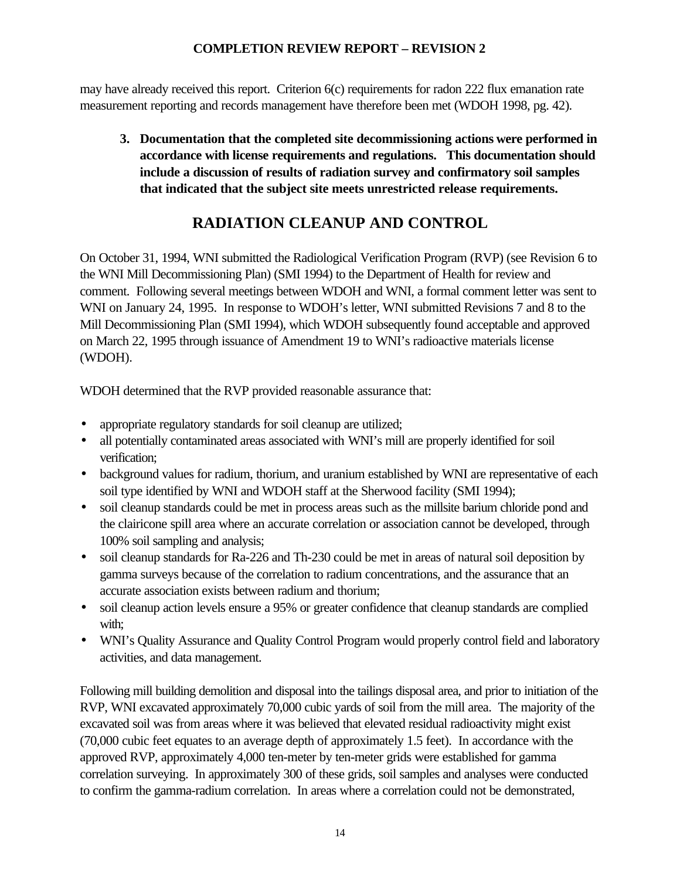may have already received this report. Criterion 6(c) requirements for radon 222 flux emanation rate measurement reporting and records management have therefore been met (WDOH 1998, pg. 42).

**3. Documentation that the completed site decommissioning actions were performed in accordance with license requirements and regulations. This documentation should include a discussion of results of radiation survey and confirmatory soil samples that indicated that the subject site meets unrestricted release requirements.**

# **RADIATION CLEANUP AND CONTROL**

On October 31, 1994, WNI submitted the Radiological Verification Program (RVP) (see Revision 6 to the WNI Mill Decommissioning Plan) (SMI 1994) to the Department of Health for review and comment. Following several meetings between WDOH and WNI, a formal comment letter was sent to WNI on January 24, 1995. In response to WDOH's letter, WNI submitted Revisions 7 and 8 to the Mill Decommissioning Plan (SMI 1994), which WDOH subsequently found acceptable and approved on March 22, 1995 through issuance of Amendment 19 to WNI's radioactive materials license (WDOH).

WDOH determined that the RVP provided reasonable assurance that:

- appropriate regulatory standards for soil cleanup are utilized;
- all potentially contaminated areas associated with WNI's mill are properly identified for soil verification;
- background values for radium, thorium, and uranium established by WNI are representative of each soil type identified by WNI and WDOH staff at the Sherwood facility (SMI 1994);
- soil cleanup standards could be met in process areas such as the millsite barium chloride pond and the clairicone spill area where an accurate correlation or association cannot be developed, through 100% soil sampling and analysis;
- soil cleanup standards for Ra-226 and Th-230 could be met in areas of natural soil deposition by gamma surveys because of the correlation to radium concentrations, and the assurance that an accurate association exists between radium and thorium;
- soil cleanup action levels ensure a 95% or greater confidence that cleanup standards are complied with;
- WNI's Quality Assurance and Quality Control Program would properly control field and laboratory activities, and data management.

Following mill building demolition and disposal into the tailings disposal area, and prior to initiation of the RVP, WNI excavated approximately 70,000 cubic yards of soil from the mill area. The majority of the excavated soil was from areas where it was believed that elevated residual radioactivity might exist (70,000 cubic feet equates to an average depth of approximately 1.5 feet). In accordance with the approved RVP, approximately 4,000 ten-meter by ten-meter grids were established for gamma correlation surveying. In approximately 300 of these grids, soil samples and analyses were conducted to confirm the gamma-radium correlation. In areas where a correlation could not be demonstrated,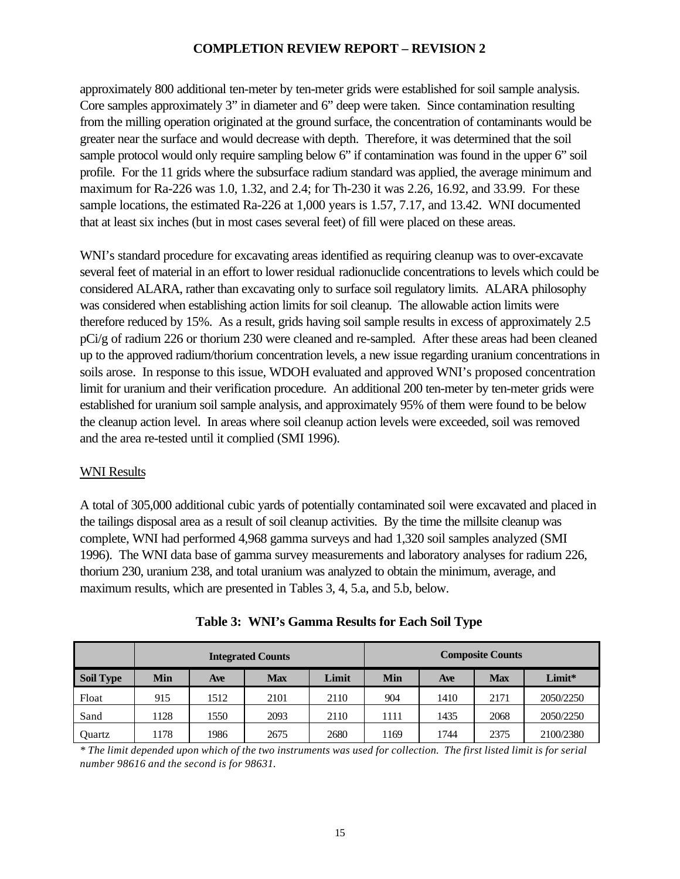approximately 800 additional ten-meter by ten-meter grids were established for soil sample analysis. Core samples approximately 3" in diameter and 6" deep were taken. Since contamination resulting from the milling operation originated at the ground surface, the concentration of contaminants would be greater near the surface and would decrease with depth. Therefore, it was determined that the soil sample protocol would only require sampling below 6" if contamination was found in the upper 6" soil profile. For the 11 grids where the subsurface radium standard was applied, the average minimum and maximum for Ra-226 was 1.0, 1.32, and 2.4; for Th-230 it was 2.26, 16.92, and 33.99. For these sample locations, the estimated Ra-226 at 1,000 years is 1.57, 7.17, and 13.42. WNI documented that at least six inches (but in most cases several feet) of fill were placed on these areas.

WNI's standard procedure for excavating areas identified as requiring cleanup was to over-excavate several feet of material in an effort to lower residual radionuclide concentrations to levels which could be considered ALARA, rather than excavating only to surface soil regulatory limits. ALARA philosophy was considered when establishing action limits for soil cleanup. The allowable action limits were therefore reduced by 15%. As a result, grids having soil sample results in excess of approximately 2.5 pCi/g of radium 226 or thorium 230 were cleaned and re-sampled. After these areas had been cleaned up to the approved radium/thorium concentration levels, a new issue regarding uranium concentrations in soils arose. In response to this issue, WDOH evaluated and approved WNI's proposed concentration limit for uranium and their verification procedure. An additional 200 ten-meter by ten-meter grids were established for uranium soil sample analysis, and approximately 95% of them were found to be below the cleanup action level. In areas where soil cleanup action levels were exceeded, soil was removed and the area re-tested until it complied (SMI 1996).

### WNI Results

A total of 305,000 additional cubic yards of potentially contaminated soil were excavated and placed in the tailings disposal area as a result of soil cleanup activities. By the time the millsite cleanup was complete, WNI had performed 4,968 gamma surveys and had 1,320 soil samples analyzed (SMI 1996). The WNI data base of gamma survey measurements and laboratory analyses for radium 226, thorium 230, uranium 238, and total uranium was analyzed to obtain the minimum, average, and maximum results, which are presented in Tables 3, 4, 5.a, and 5.b, below.

|                  | <b>Integrated Counts</b> |      |            |       |      | <b>Composite Counts</b> |            |           |  |  |
|------------------|--------------------------|------|------------|-------|------|-------------------------|------------|-----------|--|--|
| <b>Soil Type</b> | Min                      | Ave  | <b>Max</b> | Limit | Min  | Ave                     | <b>Max</b> | Limit*    |  |  |
| Float            | 915                      | 1512 | 2101       | 2110  | 904  | 1410                    | 2171       | 2050/2250 |  |  |
| Sand             | 1128                     | 1550 | 2093       | 2110  | 1111 | 1435                    | 2068       | 2050/2250 |  |  |
| Quartz           | 1178                     | 1986 | 2675       | 2680  | 1169 | 1744                    | 2375       | 2100/2380 |  |  |

**Table 3: WNI's Gamma Results for Each Soil Type**

*\* The limit depended upon which of the two instruments was used for collection. The first listed limit is for serial number 98616 and the second is for 98631.*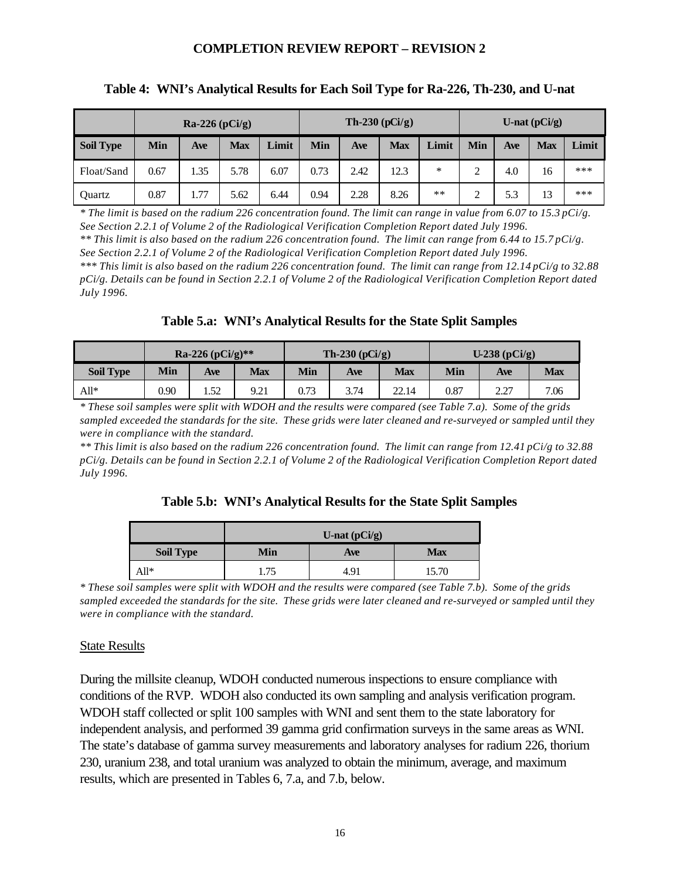|                  |      | $Ra-226$ (pCi/g) |            |       |      | Th-230 $(pCi/g)$ |            |       |        |     | U-nat $(pCi/g)$ |       |
|------------------|------|------------------|------------|-------|------|------------------|------------|-------|--------|-----|-----------------|-------|
| <b>Soil Type</b> | Min  | Ave              | <b>Max</b> | Limit | Min  | Ave              | <b>Max</b> | Limit | Min    | Ave | <b>Max</b>      | Limit |
| Float/Sand       | 0.67 | 1.35             | 5.78       | 6.07  | 0.73 | 2.42             | 12.3       | ∗     | っ<br>↵ | 4.0 | 16              | ***   |
| Quartz           | 0.87 | 1.77             | 5.62       | 6.44  | 0.94 | 2.28             | 8.26       | **    | ◠<br>∼ | 5.3 | 13              | ***   |

#### **Table 4: WNI's Analytical Results for Each Soil Type for Ra-226, Th-230, and U-nat**

*\* The limit is based on the radium 226 concentration found. The limit can range in value from 6.07 to 15.3 pCi/g. See Section 2.2.1 of Volume 2 of the Radiological Verification Completion Report dated July 1996. \*\* This limit is also based on the radium 226 concentration found. The limit can range from 6.44 to 15.7 pCi/g. See Section 2.2.1 of Volume 2 of the Radiological Verification Completion Report dated July 1996. \*\*\* This limit is also based on the radium 226 concentration found. The limit can range from 12.14 pCi/g to 32.88 pCi/g. Details can be found in Section 2.2.1 of Volume 2 of the Radiological Verification Completion Report dated July 1996.*

#### **Table 5.a: WNI's Analytical Results for the State Split Samples**

|                  |      | Ra-226 (pCi/g)** |      |      | Th-230 $(pCi/g)$ |       |      | $U-238$ (pCi/g)                  |            |
|------------------|------|------------------|------|------|------------------|-------|------|----------------------------------|------------|
| <b>Soil Type</b> | Min  | <b>Ave</b>       | Max  | Min  | <b>Ave</b>       | Max   | Min  | Ave                              | <b>Max</b> |
| $All*$           | 0.90 | 1.52             | 9.21 | 0.73 | 3.74             | 22.14 | 0.87 | າ າາ<br>$\overline{\phantom{a}}$ | 7.06       |

*\* These soil samples were split with WDOH and the results were compared (see Table 7.a). Some of the grids sampled exceeded the standards for the site. These grids were later cleaned and re-surveyed or sampled until they were in compliance with the standard.*

*\*\* This limit is also based on the radium 226 concentration found. The limit can range from 12.41 pCi/g to 32.88 pCi/g. Details can be found in Section 2.2.1 of Volume 2 of the Radiological Verification Completion Report dated July 1996.*

|  |  |  |  |  | Table 5.b: WNI's Analytical Results for the State Split Samples |
|--|--|--|--|--|-----------------------------------------------------------------|
|--|--|--|--|--|-----------------------------------------------------------------|

|                  |     | U-nat $(pCi/g)$ |            |
|------------------|-----|-----------------|------------|
| <b>Soil Type</b> | Min | Ave             | <b>Max</b> |
| All*             | .75 | 491             | 15.70      |

*\* These soil samples were split with WDOH and the results were compared (see Table 7.b). Some of the grids sampled exceeded the standards for the site. These grids were later cleaned and re-surveyed or sampled until they were in compliance with the standard.*

#### State Results

During the millsite cleanup, WDOH conducted numerous inspections to ensure compliance with conditions of the RVP. WDOH also conducted its own sampling and analysis verification program. WDOH staff collected or split 100 samples with WNI and sent them to the state laboratory for independent analysis, and performed 39 gamma grid confirmation surveys in the same areas as WNI. The state's database of gamma survey measurements and laboratory analyses for radium 226, thorium 230, uranium 238, and total uranium was analyzed to obtain the minimum, average, and maximum results, which are presented in Tables 6, 7.a, and 7.b, below.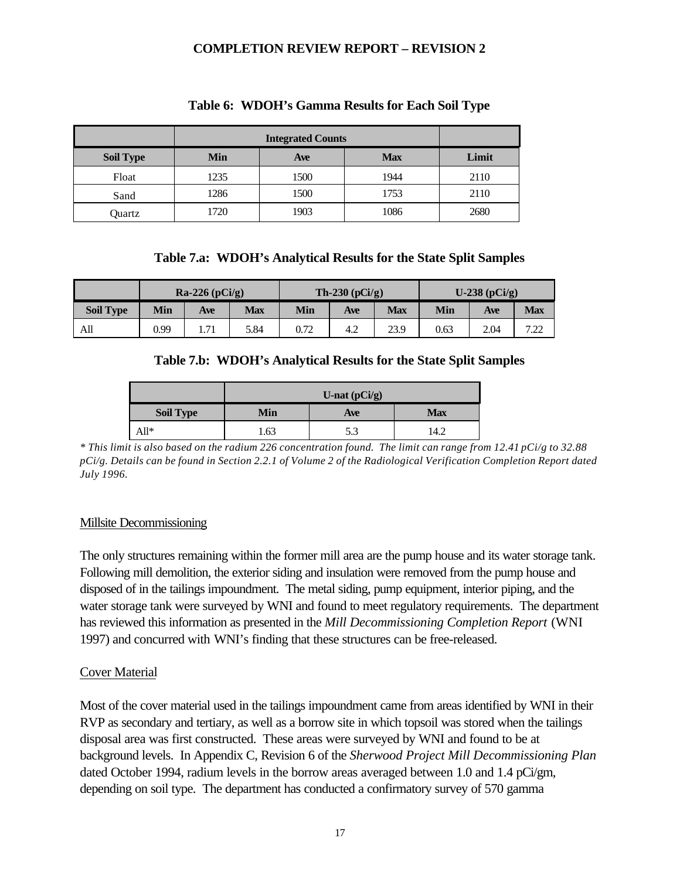|                  |      | <b>Integrated Counts</b> |            |       |
|------------------|------|--------------------------|------------|-------|
| <b>Soil Type</b> | Min  | Ave                      | <b>Max</b> | Limit |
| Float            | 1235 | 1500                     | 1944       | 2110  |
| Sand             | 1286 | 1500                     | 1753       | 2110  |
| Quartz           | 1720 | 1903                     | 1086       | 2680  |

#### **Table 6: WDOH's Gamma Results for Each Soil Type**

### **Table 7.a: WDOH's Analytical Results for the State Split Samples**

|                  |      | $Ra-226$ (pCi/g) |      |      | Th-230 $(pCi/g)$ |      |      | $U-238$ (pCi/g) |             |
|------------------|------|------------------|------|------|------------------|------|------|-----------------|-------------|
| <b>Soil Type</b> | Min  | Ave              | Max  | Min  | <b>Ave</b>       | Max  | Min  | Ave             | <b>Max</b>  |
| All              | 0.99 | 1.71             | 5.84 | 0.72 | 4.2              | 23.9 | 0.63 | 2.04            | 722<br>ىشىد |

### **Table 7.b: WDOH's Analytical Results for the State Split Samples**

|                  |     | U-nat $(pCi/g)$ |            |
|------------------|-----|-----------------|------------|
| <b>Soil Type</b> | Min | Ave             | <b>Max</b> |
| All*             | .63 | 5.3             | 14.2       |

*\* This limit is also based on the radium 226 concentration found. The limit can range from 12.41 pCi/g to 32.88 pCi/g. Details can be found in Section 2.2.1 of Volume 2 of the Radiological Verification Completion Report dated July 1996.*

### Millsite Decommissioning

The only structures remaining within the former mill area are the pump house and its water storage tank. Following mill demolition, the exterior siding and insulation were removed from the pump house and disposed of in the tailings impoundment. The metal siding, pump equipment, interior piping, and the water storage tank were surveyed by WNI and found to meet regulatory requirements. The department has reviewed this information as presented in the *Mill Decommissioning Completion Report* (WNI 1997) and concurred with WNI's finding that these structures can be free-released.

### Cover Material

Most of the cover material used in the tailings impoundment came from areas identified by WNI in their RVP as secondary and tertiary, as well as a borrow site in which topsoil was stored when the tailings disposal area was first constructed. These areas were surveyed by WNI and found to be at background levels. In Appendix C, Revision 6 of the *Sherwood Project Mill Decommissioning Plan* dated October 1994, radium levels in the borrow areas averaged between 1.0 and 1.4 pCi/gm, depending on soil type. The department has conducted a confirmatory survey of 570 gamma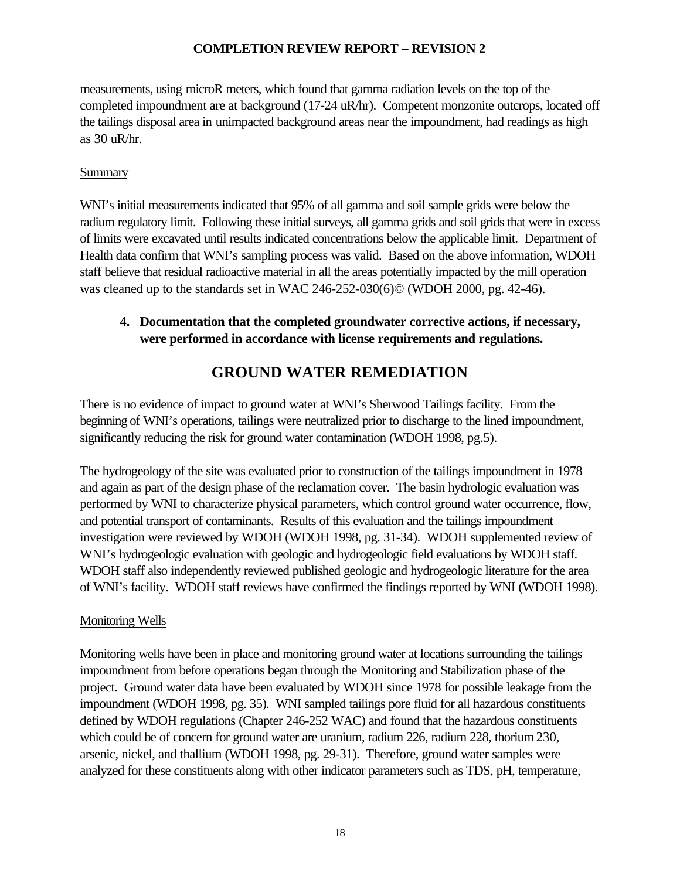measurements, using microR meters, which found that gamma radiation levels on the top of the completed impoundment are at background (17-24 uR/hr). Competent monzonite outcrops, located off the tailings disposal area in unimpacted background areas near the impoundment, had readings as high as 30 uR/hr.

### **Summary**

WNI's initial measurements indicated that 95% of all gamma and soil sample grids were below the radium regulatory limit. Following these initial surveys, all gamma grids and soil grids that were in excess of limits were excavated until results indicated concentrations below the applicable limit. Department of Health data confirm that WNI's sampling process was valid. Based on the above information, WDOH staff believe that residual radioactive material in all the areas potentially impacted by the mill operation was cleaned up to the standards set in WAC 246-252-030(6)© (WDOH 2000, pg. 42-46).

## **4. Documentation that the completed groundwater corrective actions, if necessary, were performed in accordance with license requirements and regulations.**

# **GROUND WATER REMEDIATION**

There is no evidence of impact to ground water at WNI's Sherwood Tailings facility. From the beginning of WNI's operations, tailings were neutralized prior to discharge to the lined impoundment, significantly reducing the risk for ground water contamination (WDOH 1998, pg.5).

The hydrogeology of the site was evaluated prior to construction of the tailings impoundment in 1978 and again as part of the design phase of the reclamation cover. The basin hydrologic evaluation was performed by WNI to characterize physical parameters, which control ground water occurrence, flow, and potential transport of contaminants. Results of this evaluation and the tailings impoundment investigation were reviewed by WDOH (WDOH 1998, pg. 31-34). WDOH supplemented review of WNI's hydrogeologic evaluation with geologic and hydrogeologic field evaluations by WDOH staff. WDOH staff also independently reviewed published geologic and hydrogeologic literature for the area of WNI's facility. WDOH staff reviews have confirmed the findings reported by WNI (WDOH 1998).

### Monitoring Wells

Monitoring wells have been in place and monitoring ground water at locations surrounding the tailings impoundment from before operations began through the Monitoring and Stabilization phase of the project. Ground water data have been evaluated by WDOH since 1978 for possible leakage from the impoundment (WDOH 1998, pg. 35). WNI sampled tailings pore fluid for all hazardous constituents defined by WDOH regulations (Chapter 246-252 WAC) and found that the hazardous constituents which could be of concern for ground water are uranium, radium 226, radium 228, thorium 230, arsenic, nickel, and thallium (WDOH 1998, pg. 29-31). Therefore, ground water samples were analyzed for these constituents along with other indicator parameters such as TDS, pH, temperature,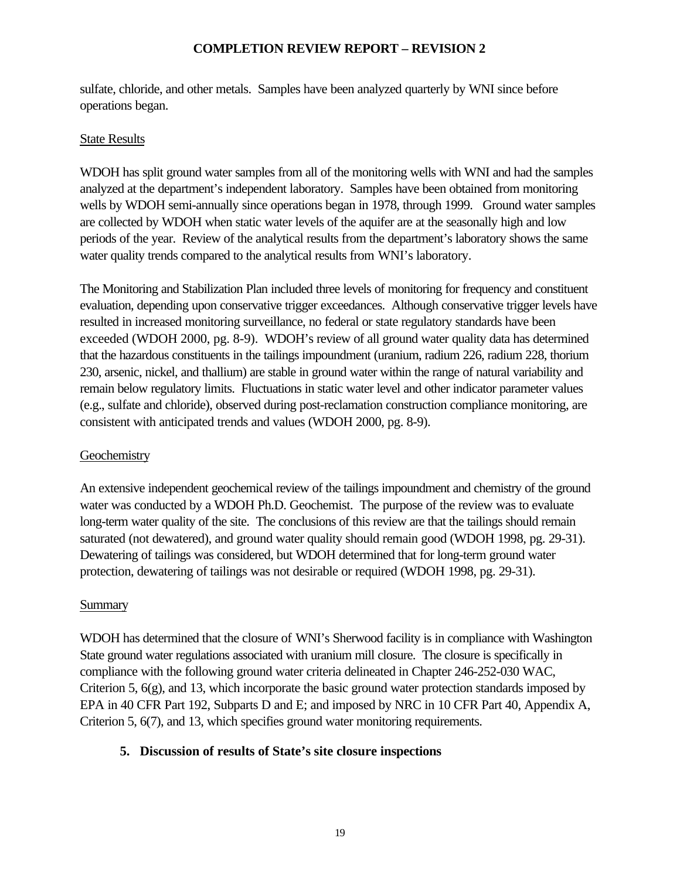sulfate, chloride, and other metals. Samples have been analyzed quarterly by WNI since before operations began.

### State Results

WDOH has split ground water samples from all of the monitoring wells with WNI and had the samples analyzed at the department's independent laboratory. Samples have been obtained from monitoring wells by WDOH semi-annually since operations began in 1978, through 1999. Ground water samples are collected by WDOH when static water levels of the aquifer are at the seasonally high and low periods of the year. Review of the analytical results from the department's laboratory shows the same water quality trends compared to the analytical results from WNI's laboratory.

The Monitoring and Stabilization Plan included three levels of monitoring for frequency and constituent evaluation, depending upon conservative trigger exceedances. Although conservative trigger levels have resulted in increased monitoring surveillance, no federal or state regulatory standards have been exceeded (WDOH 2000, pg. 8-9). WDOH's review of all ground water quality data has determined that the hazardous constituents in the tailings impoundment (uranium, radium 226, radium 228, thorium 230, arsenic, nickel, and thallium) are stable in ground water within the range of natural variability and remain below regulatory limits. Fluctuations in static water level and other indicator parameter values (e.g., sulfate and chloride), observed during post-reclamation construction compliance monitoring, are consistent with anticipated trends and values (WDOH 2000, pg. 8-9).

### **Geochemistry**

An extensive independent geochemical review of the tailings impoundment and chemistry of the ground water was conducted by a WDOH Ph.D. Geochemist. The purpose of the review was to evaluate long-term water quality of the site. The conclusions of this review are that the tailings should remain saturated (not dewatered), and ground water quality should remain good (WDOH 1998, pg. 29-31). Dewatering of tailings was considered, but WDOH determined that for long-term ground water protection, dewatering of tailings was not desirable or required (WDOH 1998, pg. 29-31).

### Summary

WDOH has determined that the closure of WNI's Sherwood facility is in compliance with Washington State ground water regulations associated with uranium mill closure. The closure is specifically in compliance with the following ground water criteria delineated in Chapter 246-252-030 WAC, Criterion 5, 6(g), and 13, which incorporate the basic ground water protection standards imposed by EPA in 40 CFR Part 192, Subparts D and E; and imposed by NRC in 10 CFR Part 40, Appendix A, Criterion 5, 6(7), and 13, which specifies ground water monitoring requirements.

### **5. Discussion of results of State's site closure inspections**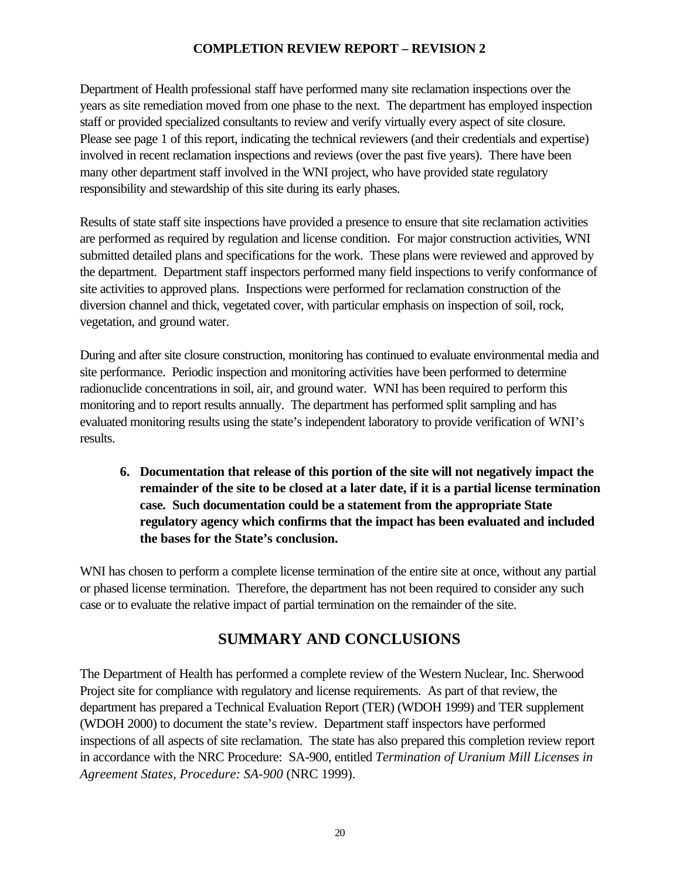Department of Health professional staff have performed many site reclamation inspections over the years as site remediation moved from one phase to the next. The department has employed inspection staff or provided specialized consultants to review and verify virtually every aspect of site closure. Please see page 1 of this report, indicating the technical reviewers (and their credentials and expertise) involved in recent reclamation inspections and reviews (over the past five years). There have been many other department staff involved in the WNI project, who have provided state regulatory responsibility and stewardship of this site during its early phases.

Results of state staff site inspections have provided a presence to ensure that site reclamation activities are performed as required by regulation and license condition. For major construction activities, WNI submitted detailed plans and specifications for the work. These plans were reviewed and approved by the department. Department staff inspectors performed many field inspections to verify conformance of site activities to approved plans. Inspections were performed for reclamation construction of the diversion channel and thick, vegetated cover, with particular emphasis on inspection of soil, rock, vegetation, and ground water.

During and after site closure construction, monitoring has continued to evaluate environmental media and site performance. Periodic inspection and monitoring activities have been performed to determine radionuclide concentrations in soil, air, and ground water. WNI has been required to perform this monitoring and to report results annually. The department has performed split sampling and has evaluated monitoring results using the state's independent laboratory to provide verification of WNI's results.

**6. Documentation that release of this portion of the site will not negatively impact the remainder of the site to be closed at a later date, if it is a partial license termination case. Such documentation could be a statement from the appropriate State regulatory agency which confirms that the impact has been evaluated and included the bases for the State's conclusion.**

WNI has chosen to perform a complete license termination of the entire site at once, without any partial or phased license termination. Therefore, the department has not been required to consider any such case or to evaluate the relative impact of partial termination on the remainder of the site.

# **SUMMARY AND CONCLUSIONS**

The Department of Health has performed a complete review of the Western Nuclear, Inc. Sherwood Project site for compliance with regulatory and license requirements. As part of that review, the department has prepared a Technical Evaluation Report (TER) (WDOH 1999) and TER supplement (WDOH 2000) to document the state's review. Department staff inspectors have performed inspections of all aspects of site reclamation. The state has also prepared this completion review report in accordance with the NRC Procedure: SA-900, entitled *Termination of Uranium Mill Licenses in Agreement States, Procedure: SA-900* (NRC 1999).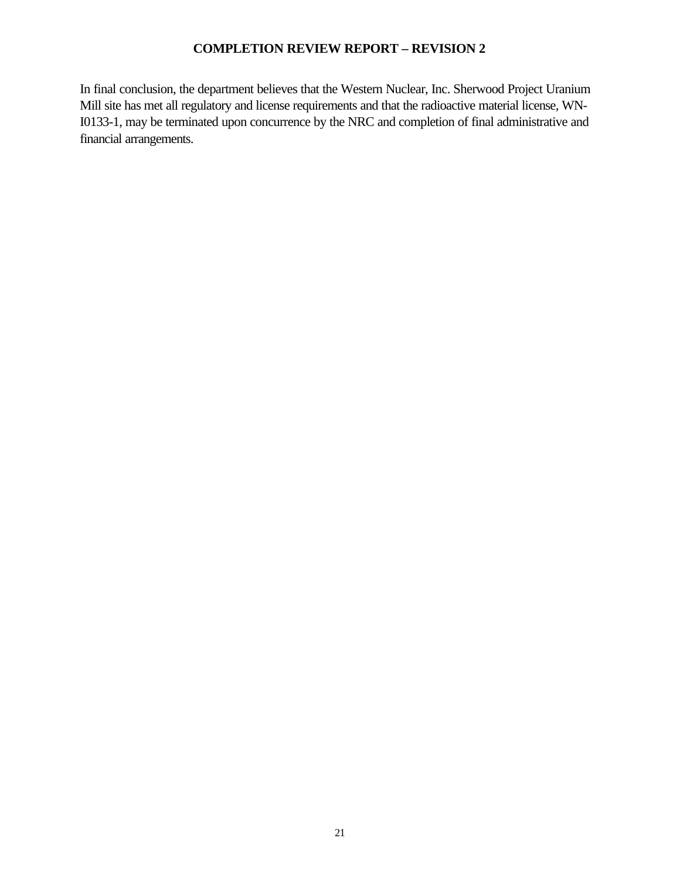In final conclusion, the department believes that the Western Nuclear, Inc. Sherwood Project Uranium Mill site has met all regulatory and license requirements and that the radioactive material license, WN-I0133-1, may be terminated upon concurrence by the NRC and completion of final administrative and financial arrangements.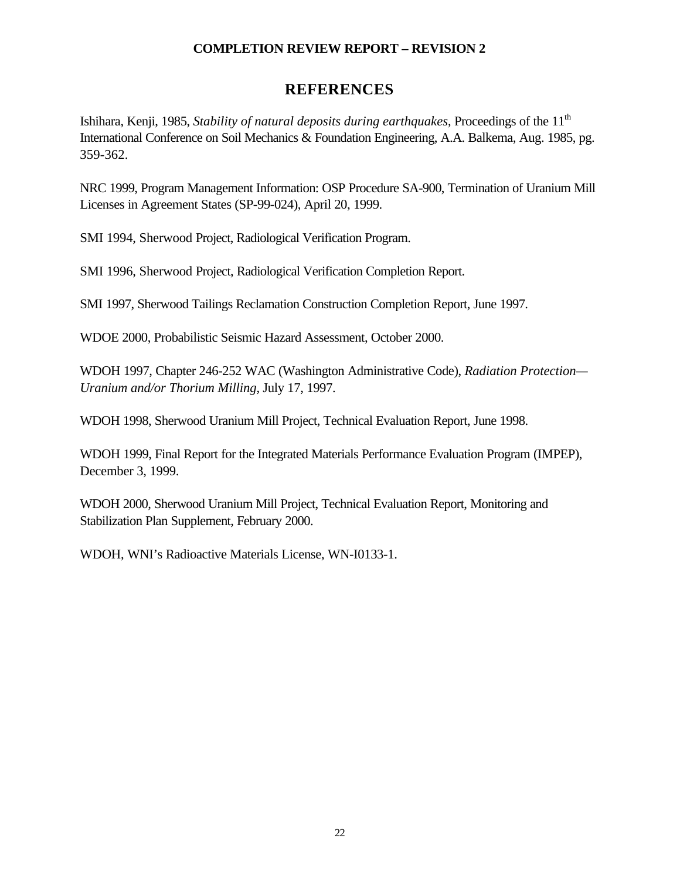## **REFERENCES**

Ishihara, Kenji, 1985, *Stability of natural deposits during earthquakes*, Proceedings of the 11<sup>th</sup> International Conference on Soil Mechanics & Foundation Engineering, A.A. Balkema, Aug. 1985, pg. 359-362.

NRC 1999, Program Management Information: OSP Procedure SA-900, Termination of Uranium Mill Licenses in Agreement States (SP-99-024), April 20, 1999.

SMI 1994, Sherwood Project, Radiological Verification Program.

SMI 1996, Sherwood Project, Radiological Verification Completion Report.

SMI 1997, Sherwood Tailings Reclamation Construction Completion Report, June 1997.

WDOE 2000, Probabilistic Seismic Hazard Assessment, October 2000.

WDOH 1997, Chapter 246-252 WAC (Washington Administrative Code), *Radiation Protection— Uranium and/or Thorium Milling*, July 17, 1997.

WDOH 1998, Sherwood Uranium Mill Project, Technical Evaluation Report, June 1998.

WDOH 1999, Final Report for the Integrated Materials Performance Evaluation Program (IMPEP), December 3, 1999.

WDOH 2000, Sherwood Uranium Mill Project, Technical Evaluation Report, Monitoring and Stabilization Plan Supplement, February 2000.

WDOH, WNI's Radioactive Materials License, WN-I0133-1.